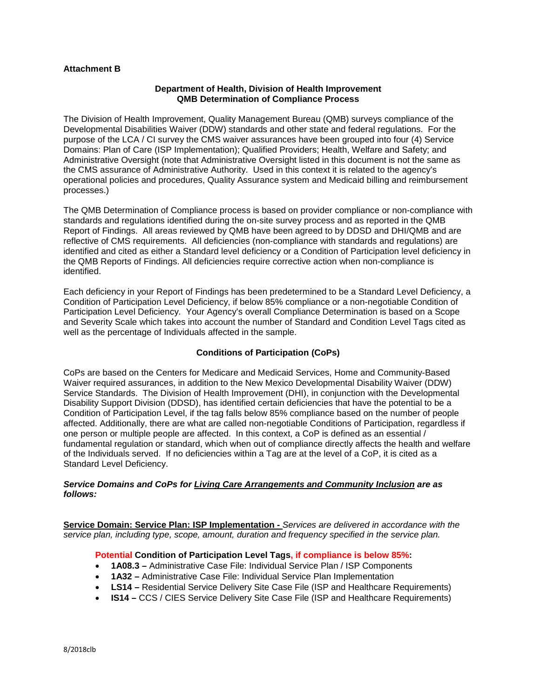## **Attachment B**

#### **Department of Health, Division of Health Improvement QMB Determination of Compliance Process**

The Division of Health Improvement, Quality Management Bureau (QMB) surveys compliance of the Developmental Disabilities Waiver (DDW) standards and other state and federal regulations. For the purpose of the LCA / CI survey the CMS waiver assurances have been grouped into four (4) Service Domains: Plan of Care (ISP Implementation); Qualified Providers; Health, Welfare and Safety; and Administrative Oversight (note that Administrative Oversight listed in this document is not the same as the CMS assurance of Administrative Authority. Used in this context it is related to the agency's operational policies and procedures, Quality Assurance system and Medicaid billing and reimbursement processes.)

The QMB Determination of Compliance process is based on provider compliance or non-compliance with standards and regulations identified during the on-site survey process and as reported in the QMB Report of Findings. All areas reviewed by QMB have been agreed to by DDSD and DHI/QMB and are reflective of CMS requirements. All deficiencies (non-compliance with standards and regulations) are identified and cited as either a Standard level deficiency or a Condition of Participation level deficiency in the QMB Reports of Findings. All deficiencies require corrective action when non-compliance is identified.

Each deficiency in your Report of Findings has been predetermined to be a Standard Level Deficiency, a Condition of Participation Level Deficiency, if below 85% compliance or a non-negotiable Condition of Participation Level Deficiency. Your Agency's overall Compliance Determination is based on a Scope and Severity Scale which takes into account the number of Standard and Condition Level Tags cited as well as the percentage of Individuals affected in the sample.

# **Conditions of Participation (CoPs)**

CoPs are based on the Centers for Medicare and Medicaid Services, Home and Community-Based Waiver required assurances, in addition to the New Mexico Developmental Disability Waiver (DDW) Service Standards. The Division of Health Improvement (DHI), in conjunction with the Developmental Disability Support Division (DDSD), has identified certain deficiencies that have the potential to be a Condition of Participation Level, if the tag falls below 85% compliance based on the number of people affected. Additionally, there are what are called non-negotiable Conditions of Participation, regardless if one person or multiple people are affected. In this context, a CoP is defined as an essential  $\sqrt{ }$ fundamental regulation or standard, which when out of compliance directly affects the health and welfare of the Individuals served. If no deficiencies within a Tag are at the level of a CoP, it is cited as a Standard Level Deficiency.

### *Service Domains and CoPs for Living Care Arrangements and Community Inclusion are as follows:*

**Service Domain: Service Plan: ISP Implementation -** *Services are delivered in accordance with the service plan, including type, scope, amount, duration and frequency specified in the service plan.*

### **Potential Condition of Participation Level Tags, if compliance is below 85%:**

- **1A08.3 –** Administrative Case File: Individual Service Plan / ISP Components
- **1A32 –** Administrative Case File: Individual Service Plan Implementation
- **LS14 –** Residential Service Delivery Site Case File (ISP and Healthcare Requirements)
- **IS14** CCS / CIES Service Delivery Site Case File (ISP and Healthcare Requirements)